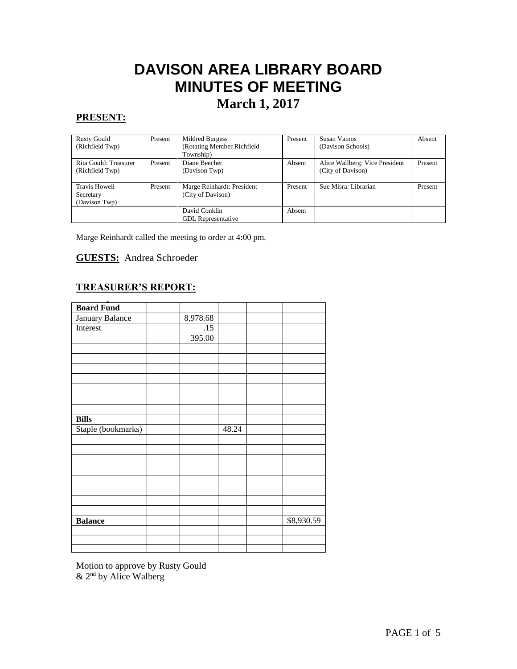# **DAVISON AREA LIBRARY BOARD MINUTES OF MEETING**

## **March 1, 2017**

#### **PRESENT:**

| <b>Rusty Gould</b>    | Present | Mildred Burgess            | Present | Susan Vamos                    | Absent  |
|-----------------------|---------|----------------------------|---------|--------------------------------|---------|
| (Richfield Twp)       |         | (Rotating Member Richfield |         | (Davison Schools)              |         |
|                       |         | Township)                  |         |                                |         |
| Rita Gould: Treasurer | Present | Diane Beecher              | Absent  | Alice Wallberg: Vice President | Present |
| (Richfield Twp)       |         | (Davison Twp)              |         | (City of Davison)              |         |
|                       |         |                            |         |                                |         |
| <b>Travis Howell</b>  | Present | Marge Reinhardt: President | Present | Sue Misra: Librarian           | Present |
| Secretary             |         | (City of Davison)          |         |                                |         |
| (Davison Twp)         |         |                            |         |                                |         |
|                       |         | David Conklin              | Absent  |                                |         |
|                       |         | <b>GDL</b> Representative  |         |                                |         |

Marge Reinhardt called the meeting to order at 4:00 pm.

#### **GUESTS:** Andrea Schroeder

#### **TREASURER'S REPORT:**

| <b>Board Fund</b>  |          |       |            |
|--------------------|----------|-------|------------|
| January Balance    | 8,978.68 |       |            |
| Interest           | .15      |       |            |
|                    | 395.00   |       |            |
|                    |          |       |            |
|                    |          |       |            |
|                    |          |       |            |
|                    |          |       |            |
|                    |          |       |            |
|                    |          |       |            |
|                    |          |       |            |
| <b>Bills</b>       |          |       |            |
| Staple (bookmarks) |          | 48.24 |            |
|                    |          |       |            |
|                    |          |       |            |
|                    |          |       |            |
|                    |          |       |            |
|                    |          |       |            |
|                    |          |       |            |
|                    |          |       |            |
|                    |          |       |            |
| <b>Balance</b>     |          |       | \$8,930.59 |
|                    |          |       |            |
|                    |          |       |            |
|                    |          |       |            |

Motion to approve by Rusty Gould  $& 2<sup>nd</sup>$  by Alice Walberg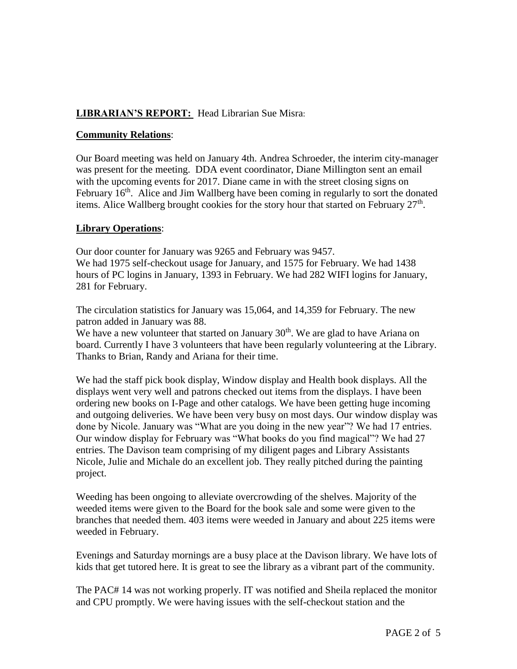#### **LIBRARIAN'S REPORT:** Head Librarian Sue Misra:

#### **Community Relations**:

Our Board meeting was held on January 4th. Andrea Schroeder, the interim city-manager was present for the meeting. DDA event coordinator, Diane Millington sent an email with the upcoming events for 2017. Diane came in with the street closing signs on February  $16<sup>th</sup>$ . Alice and Jim Wallberg have been coming in regularly to sort the donated items. Alice Wallberg brought cookies for the story hour that started on February  $27<sup>th</sup>$ .

#### **Library Operations**:

Our door counter for January was 9265 and February was 9457. We had 1975 self-checkout usage for January, and 1575 for February. We had 1438 hours of PC logins in January, 1393 in February. We had 282 WIFI logins for January, 281 for February.

The circulation statistics for January was 15,064, and 14,359 for February. The new patron added in January was 88.

We have a new volunteer that started on January  $30<sup>th</sup>$ . We are glad to have Ariana on board. Currently I have 3 volunteers that have been regularly volunteering at the Library. Thanks to Brian, Randy and Ariana for their time.

We had the staff pick book display, Window display and Health book displays. All the displays went very well and patrons checked out items from the displays. I have been ordering new books on I-Page and other catalogs. We have been getting huge incoming and outgoing deliveries. We have been very busy on most days. Our window display was done by Nicole. January was "What are you doing in the new year"? We had 17 entries. Our window display for February was "What books do you find magical"? We had 27 entries. The Davison team comprising of my diligent pages and Library Assistants Nicole, Julie and Michale do an excellent job. They really pitched during the painting project.

Weeding has been ongoing to alleviate overcrowding of the shelves. Majority of the weeded items were given to the Board for the book sale and some were given to the branches that needed them. 403 items were weeded in January and about 225 items were weeded in February.

Evenings and Saturday mornings are a busy place at the Davison library. We have lots of kids that get tutored here. It is great to see the library as a vibrant part of the community.

The PAC# 14 was not working properly. IT was notified and Sheila replaced the monitor and CPU promptly. We were having issues with the self-checkout station and the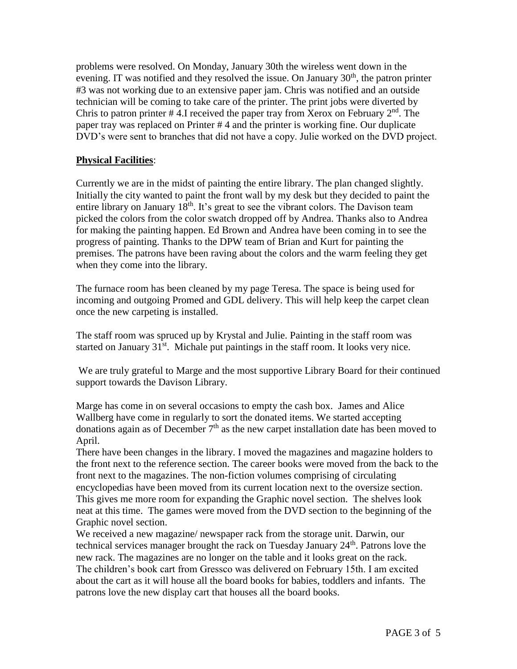problems were resolved. On Monday, January 30th the wireless went down in the evening. IT was notified and they resolved the issue. On January  $30<sup>th</sup>$ , the patron printer #3 was not working due to an extensive paper jam. Chris was notified and an outside technician will be coming to take care of the printer. The print jobs were diverted by Chris to patron printer #4.I received the paper tray from Xerox on February  $2<sup>nd</sup>$ . The paper tray was replaced on Printer # 4 and the printer is working fine. Our duplicate DVD's were sent to branches that did not have a copy. Julie worked on the DVD project.

#### **Physical Facilities**:

Currently we are in the midst of painting the entire library. The plan changed slightly. Initially the city wanted to paint the front wall by my desk but they decided to paint the entire library on January  $18<sup>th</sup>$ . It's great to see the vibrant colors. The Davison team picked the colors from the color swatch dropped off by Andrea. Thanks also to Andrea for making the painting happen. Ed Brown and Andrea have been coming in to see the progress of painting. Thanks to the DPW team of Brian and Kurt for painting the premises. The patrons have been raving about the colors and the warm feeling they get when they come into the library.

The furnace room has been cleaned by my page Teresa. The space is being used for incoming and outgoing Promed and GDL delivery. This will help keep the carpet clean once the new carpeting is installed.

The staff room was spruced up by Krystal and Julie. Painting in the staff room was started on January  $31<sup>st</sup>$ . Michale put paintings in the staff room. It looks very nice.

We are truly grateful to Marge and the most supportive Library Board for their continued support towards the Davison Library.

Marge has come in on several occasions to empty the cash box. James and Alice Wallberg have come in regularly to sort the donated items. We started accepting donations again as of December  $7<sup>th</sup>$  as the new carpet installation date has been moved to April.

There have been changes in the library. I moved the magazines and magazine holders to the front next to the reference section. The career books were moved from the back to the front next to the magazines. The non-fiction volumes comprising of circulating encyclopedias have been moved from its current location next to the oversize section. This gives me more room for expanding the Graphic novel section. The shelves look neat at this time. The games were moved from the DVD section to the beginning of the Graphic novel section.

We received a new magazine/ newspaper rack from the storage unit. Darwin, our technical services manager brought the rack on Tuesday January 24<sup>th</sup>. Patrons love the new rack. The magazines are no longer on the table and it looks great on the rack. The children's book cart from Gressco was delivered on February 15th. I am excited about the cart as it will house all the board books for babies, toddlers and infants. The patrons love the new display cart that houses all the board books.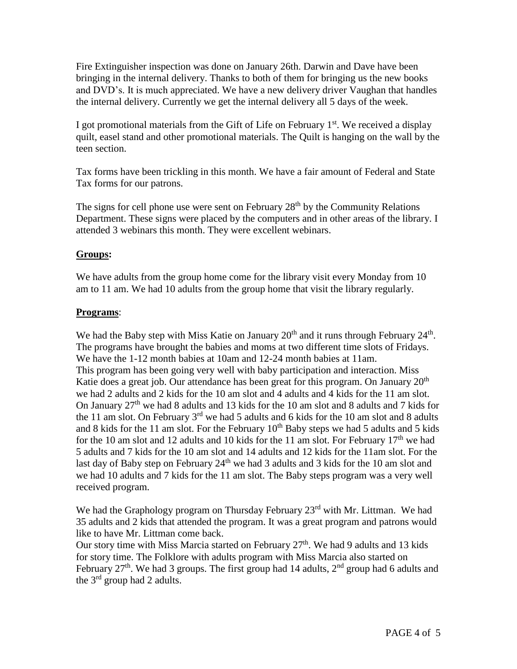Fire Extinguisher inspection was done on January 26th. Darwin and Dave have been bringing in the internal delivery. Thanks to both of them for bringing us the new books and DVD's. It is much appreciated. We have a new delivery driver Vaughan that handles the internal delivery. Currently we get the internal delivery all 5 days of the week.

I got promotional materials from the Gift of Life on February  $1<sup>st</sup>$ . We received a display quilt, easel stand and other promotional materials. The Quilt is hanging on the wall by the teen section.

Tax forms have been trickling in this month. We have a fair amount of Federal and State Tax forms for our patrons.

The signs for cell phone use were sent on February  $28<sup>th</sup>$  by the Community Relations Department. These signs were placed by the computers and in other areas of the library. I attended 3 webinars this month. They were excellent webinars.

#### **Groups:**

We have adults from the group home come for the library visit every Monday from 10 am to 11 am. We had 10 adults from the group home that visit the library regularly.

#### **Programs**:

We had the Baby step with Miss Katie on January  $20<sup>th</sup>$  and it runs through February  $24<sup>th</sup>$ . The programs have brought the babies and moms at two different time slots of Fridays. We have the 1-12 month babies at 10am and 12-24 month babies at 11am. This program has been going very well with baby participation and interaction. Miss Katie does a great job. Our attendance has been great for this program. On January  $20<sup>th</sup>$ we had 2 adults and 2 kids for the 10 am slot and 4 adults and 4 kids for the 11 am slot. On January  $27<sup>th</sup>$  we had 8 adults and 13 kids for the 10 am slot and 8 adults and 7 kids for the 11 am slot. On February  $3<sup>rd</sup>$  we had 5 adults and 6 kids for the 10 am slot and 8 adults and 8 kids for the 11 am slot. For the February  $10<sup>th</sup>$  Baby steps we had 5 adults and 5 kids for the 10 am slot and 12 adults and 10 kids for the 11 am slot. For February  $17<sup>th</sup>$  we had 5 adults and 7 kids for the 10 am slot and 14 adults and 12 kids for the 11am slot. For the last day of Baby step on February 24<sup>th</sup> we had 3 adults and 3 kids for the 10 am slot and we had 10 adults and 7 kids for the 11 am slot. The Baby steps program was a very well received program.

We had the Graphology program on Thursday February 23<sup>rd</sup> with Mr. Littman. We had 35 adults and 2 kids that attended the program. It was a great program and patrons would like to have Mr. Littman come back.

Our story time with Miss Marcia started on February  $27<sup>th</sup>$ . We had 9 adults and 13 kids for story time. The Folklore with adults program with Miss Marcia also started on February  $27<sup>th</sup>$ . We had 3 groups. The first group had 14 adults,  $2<sup>nd</sup>$  group had 6 adults and the 3rd group had 2 adults.